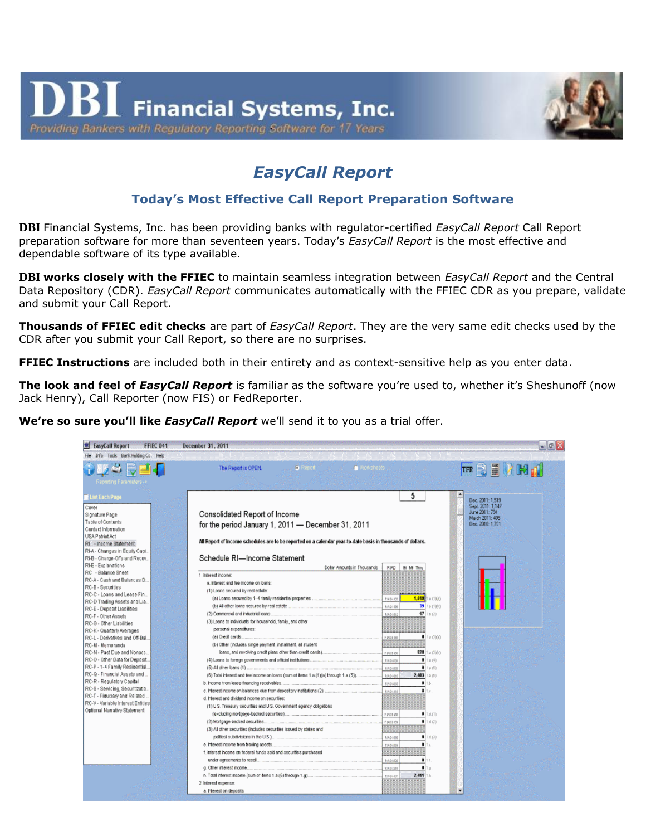

## *EasyCall Report*

## **Today's Most Effective Call Report Preparation Software**

**DBI** Financial Systems, Inc. has been providing banks with regulator-certified *EasyCall Report* Call Report preparation software for more than seventeen years. Today's *EasyCall Report* is the most effective and dependable software of its type available.

**DBI works closely with the FFIEC** to maintain seamless integration between *EasyCall Report* and the Central Data Repository (CDR). *EasyCall Report* communicates automatically with the FFIEC CDR as you prepare, validate and submit your Call Report.

**Thousands of FFIEC edit checks** are part of *EasyCall Report*. They are the very same edit checks used by the CDR after you submit your Call Report, so there are no surprises.

**FFIEC Instructions** are included both in their entirety and as context-sensitive help as you enter data.

**The look and feel of** *EasyCall Report* is familiar as the software you're used to, whether it's Sheshunoff (now Jack Henry), Call Reporter (now FIS) or FedReporter.

**We're so sure you'll like** *EasyCall Report* we'll send it to you as a trial offer.